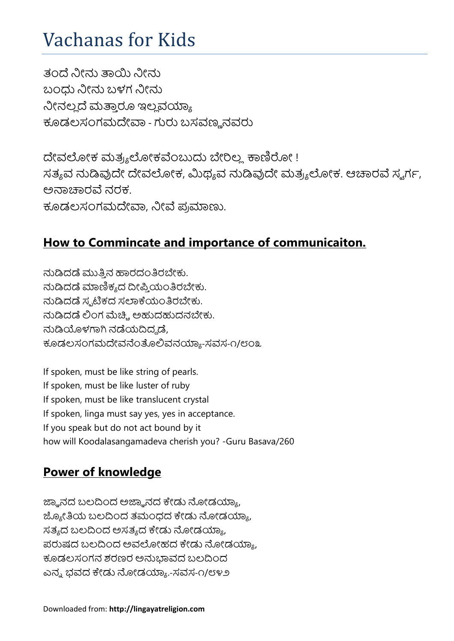# Vachanas for Kids

ತಂದೆ ನೀನು ತಾಯಿ ನೀನು ಬಂಧು ನೀನು ಬಳಗ ನೀನು ನೀನಲ್ಲದೆ ಮತ್ತಾರೂ ಇಲ್ಲವಯ್ಯಾ ಕೂಡಲಸಂಗಮದೇವಾ - ಗುರು ಬಸವಣ್ಣನವರು

ದೇವಲೋಕ ಮತ್ರ್ಯಲೋಕವೆಂಬುದು ಬೇರಿಲ್ಲ. ಕಾಣಿರೋ ! ಸತ್ಯವ ನುಡಿವುದೇ ದೇವಲೋಕ, ಮಿಥ್ಯವ ನುಡಿವುದೇ ಮತ್ರ್ಯಲೋಕ. ಆಚಾರವೆ ಸ್ವರ್ಗ, ಅನಾಚಾರವೆ ನರಕ. ಕೂಡಲಸಂಗಮದೇವಾ, ನೀವೆ ಪ್ರಮಾಣು.

### **How to Commincate and importance of communicaiton.**

ನುಡಿದಡೆ ಮುತ್ತಿನ ಹಾರದಂತಿರಬೇಕು. ನುಡಿದಡೆ ಮಾಣಿಕ್ಯದ ದೀಪ್ತಿಯಂತಿರಬೇಕು. ನುಡಿದಡೆ ಸ್ಮಟಿಕದ ಸಲಾಕೆಯಂತಿರಬೇಕು. ನುಡಿದಡೆ ಲಿಂಗ ಮೆಚ್ಚಿ. ಅಹುದಹುದನಬೇಕು. ನುಡಿಯೊಳಗಾಗಿ ನಡೆಯದಿದ್ದಡೆ. ಕೂಡಲಸಂಗಮದೇವನೆಂತೊಲಿವನಯ್ಯಾ-ಸವಸ-೧/೮೦೩

If spoken, must be like string of pearls. If spoken, must be like luster of ruby If spoken, must be like translucent crystal If spoken, linga must say yes, yes in acceptance. If you speak but do not act bound by it how will Koodalasangamadeva cherish you? -Guru Basava/260

#### **Power of knowledge**

ಜ್ಞಾನದ ಬಲದಿಂದ ಅಜ್ಞಾನದ ಕೇಡು ನೋಡಯ್ಯಾ, ಜ್ಯೋತಿಯ ಬಲದಿಂದ ತಮಂಧದ ಕೇಡು ನೋಡಯ್ಯಾ, ಸತ್ಯದ ಬಲದಿಂದ ಅಸತ್ಯದ ಕೇಡು ನೋಡಯ್ಯಾ, ಪರುಷದ ಬಲದಿಂದ ಅವಲೋಹದ ಕೇಡು ನೋಡಯ್ಯಾ, ಕೂಡಲಸಂಗನ ಶರಣರ ಅನುಭಾವದ ಬಲದಿಂದ ಎನ್ನ ಭವದ ಕೇಡು ನೋಡಯ್ಯಾ.-ಸವಸ-೧/೮೪೨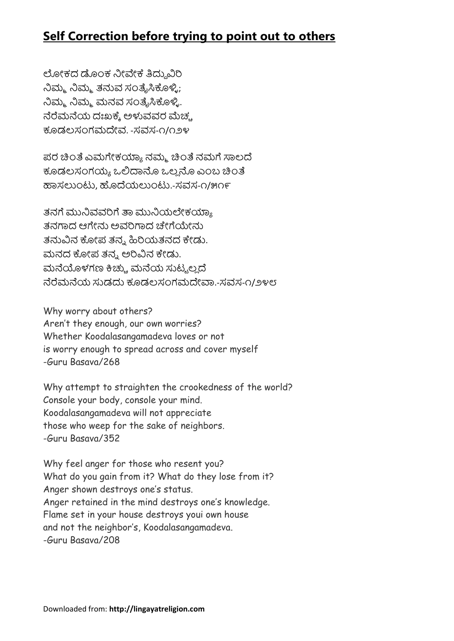## **Self Correction before trying to point out to others**

ಲೋಕದ ಡೊಂಕ ನೀವೇಕೆ ತಿದ್ದುವಿರಿ ನಿಮ್ಮ ನಿಮ್ಮ ತನುವ ಸಂತೈಸಿಕೊಳ್ಳಿ; ನಿಮ್ಮ ನಿಮ್ಮ ಮನವ ಸಂತೈಸಿಕೊಳ್ಳಿ. ನೆರೆಮನೆಯ ದಃಖಕ್ಕೆ ಅಳುವವರ ಮೆಚ್ಚ ಕೂಡಲಸಂಗಮದೇವ. -ಸವಸ-೧/೧೨೪

ಪರ ಚಿಂತೆ ಎಮಗೇಕಯ್ಯಾ ನಮ್ಮ ಚಿಂತೆ ನಮಗೆ ಸಾಲದೆ ಕೂಡಲಸಂಗಯ್ಯ ಒಲಿದಾನೊ ಒಲ್ಲ ನೊ ಎಂಬ ಚಿಂತೆ ಹಾಸಲುಂಟು. ಹೊದೆಯಲುಂಟು.-ಸವಸ-೧/೫೧೯

ತನಗೆ ಮುನಿವವರಿಗೆ ತಾ ಮುನಿಯಲೇಕಯ್ಯಾ ತನಗಾದ ಆಗೇನು ಅವರಿಗಾದ ಚೇಗೆಯೇನು ತನುವಿನ ಕೋಪ ತನ್ನ ಹಿರಿಯತನದ ಕೇಡು. ಮನದ ಕೋಪ ತನ್ನ ಅರಿವಿನ ಕೇಡು. ಮನೆಯೊಳಗಣ ಕಿಚ್ಚು ಮನೆಯ ಸುಟ್ಟಲ್ಲದೆ ನೆರೆಮನೆಯ ಸುಡದು ಕೂಡಲಸಂಗಮದೇವಾ.-ಸವಸ-೧/೨೪೮

Why worry about others? Aren't they enough, our own worries? Whether Koodalasangamadeva loves or not is worry enough to spread across and cover myself -Guru Basava/268

Why attempt to straighten the crookedness of the world? Console your body, console your mind. Koodalasangamadeva will not appreciate those who weep for the sake of neighbors. -Guru Basava/352

Why feel anger for those who resent you? What do you gain from it? What do they lose from it? Anger shown destroys one's status. Anger retained in the mind destroys one's knowledge. Flame set in your house destroys youi own house and not the neighbor's, Koodalasangamadeva. -Guru Basava/208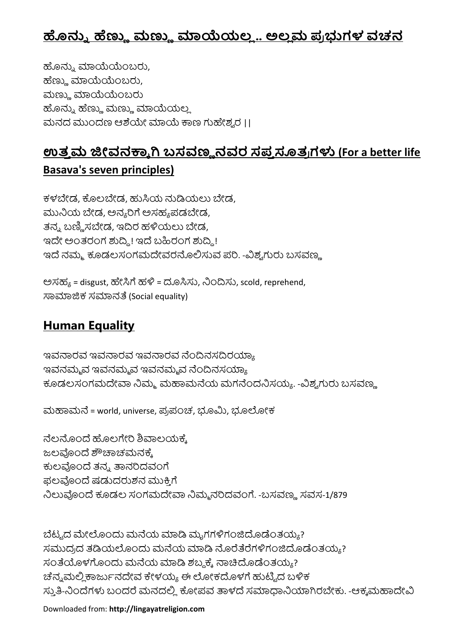## ಹೊನ್ನು ಹೆಣ್ಣು ಮಣ್ಣು ಮಾಯೆಯಲ್ಲ.. ಅಲ್ಲಮ ಪ್ರಭುಗಳ ವಚನ

ಹೊನ್ನು ಮಾಯೆಯೆಂಬರು, ಹೆಣ್ಣು ಮಾಯೆಯೆಂಬರು, ಮಣ್ಣು ಮಾಯೆಯೆಂಬರು ಹೊನ್ನು ಹೆಣ್ಣು ಮಣ್ಣು ಮಾಯೆಯಲ್ಲ ಮನದ ಮುಂದಣ ಆಶೆಯೇ ಮಾಯೆ ಕಾಣ ಗುಹೇಶ್ವರ II

## <u>ಉತ್ತಮ ಜೀವನಕ್ಕಾಗಿ ಬಸವಣ್ಣನವರ ಸಪ್ತಸೂತ್ರಗಳು (For a better life</u> **Basava's seven principles)**

ಕಳಬೇಡ. ಕೊಲಬೇಡ. ಹುಸಿಯ ನುಡಿಯಲು ಬೇಡ. ಮುನಿಯ ಬೇಡ. ಅನ್ಯರಿಗೆ ಅಸಹ್ಯಪಡಬೇಡ. ತನ್ನ ಬಣ್ಣಿಸಬೇಡ, ಇದಿರ ಹಳಿಯಲು ಬೇಡ, ಇದೇ ಅಂತರಂಗ ಶುದ್ದಿ! ಇದೆ ಬಹಿರಂಗ ಶುದ್ದಿ! ಇದೆ ನಮ್ಮ ಕೂಡಲಸಂಗಮದೇವರನೊಲಿಸುವ ಪರಿ. -ವಿಶ್ಯಗುರು ಬಸವಣ್ಣ

ಅಸಹ $_8$  = disgust, ಹೇಸಿಗೆ ಹಳಿ = ದೂಸಿಸು, ನಿಂದಿಸು, scold, reprehend, ಸಾಮಾಜಿಕ ಸಮಾನತೆ (Social equality)

## **Human Equality**

ಇವನಾರವ ಇವನಾರವ ಇವನಾರವ ನೆಂದಿನಸದಿರಯ್ಯಾ ಇವನಮ್ಮವ ಇವನಮ್ಮವ ಇವನಮ್ಮವ ನೆಂದಿನಸಯ್ಯಾ ಕೂಡಲಸಂಗಮದೇವಾ ನಿಮ್ಮ ಮಹಾಮನೆಯ ಮಗನೆಂದನಿಸಯ್ಯ. -ವಿಶ್ವಗುರು ಬಸವಣ್ಣ

ಮಹಾಮನೆ = world, universe, ಪ್ರಪಂಚ, ಭೂಮಿ, ಭೂಲೋಕ

ನೆಲನೊಂದೆ ಹೊಲಗೇರಿ ಶಿವಾಲಯಕೆ. ಜಲವೊಂದೆ ಶೌಚಾಚಮನಕ್ಕೆ ಕುಲವೊಂದೆ ತನ್ನ ತಾನರಿದವಂಗೆ ಫಲವೊಂದೆ ಷಡುದರುಶನ ಮುಕ್ತಿಗೆ ನಿಲುವೊಂದೆ ಕೂಡಲ ಸಂಗಮದೇವಾ ನಿಮ್ಮನರಿದವಂಗೆ. -ಬಸವಣ್ಣ ಸವಸ-1/879

ಬೆಟ್ಟದ ಮೇಲೊಂದು ಮನೆಯ ಮಾಡಿ ಮೃಗಗಳಿಗಂಜಿದೊಡೆಂತಯ್ಯ? ಸಮುದ್ರದ ತಡಿಯಲೊಂದು ಮನೆಯ ಮಾಡಿ ನೊರೆತೆರೆಗಳಿಗಂಜಿದೊಡೆಂತಯ್ಯ? ಸಂತೆಯೊಳಗೊಂದು ಮನೆಯ ಮಾಡಿ ಶಬ್ದಕ್ಕೆ ನಾಚಿದೊಡೆಂತಯ್ಯ? ಚೆನ್ನಮಲ್ಲಿಕಾರ್ಜುನದೇವ ಕೇಳಯ್ಯ ಈ ಲೋಕದೊಳಗೆ ಹುಟ್ಟಿದ ಬಳಿಕ ಸ್ತುತಿ-ನಿಂದೆಗಳು ಬಂದರೆ ಮನದಲ್ಲಿ ಕೋಪವ ತಾಳದೆ ಸಮಾಧಾನಿಯಾಗಿರಬೇಕು. -ಆಕ್ಕಮಹಾದೇವಿ

Downloaded from: **http://lingayatreligion.com**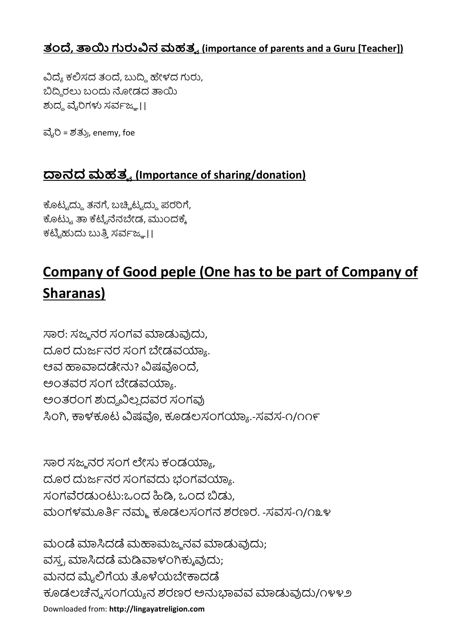### **, ನ (importance of parents and a Guru [Teacher])**

ವಿದ್ಯೆ ಕಲಿಸದ ತಂದೆ, ಬುದ್ಧಿ ಹೇಳದ ಗುರು, ಬಿದ್ದಿರಲು ಬಂದು ನೋಡದ ತಾಯಿ ಶುದ್ಧ ವೈರಿಗಳು ಸರ್ವಜ್ಞ II

ವೈರಿ = ಶತ್ರು, enemy, foe

## **ನ (Importance of sharing/donation)**

ಕೊಟ್ಟದ್ದು ತನಗೆ, ಬಚ್ಚಿಟ್ಟದ್ದು ಪರರಿಗೆ, ಕೊಟ್ಟು ತಾ ಕೆಟ್ಟೆನೆನಬೇಡ, ಮುಂದಕ್ಕೆ ಕಟ್ಟಿಹುದು ಬುತ್ತಿ ಸರ್ವಜ್<u>ಞ</u>।।

## **Company of Good peple (One has to be part of Company of Sharanas)**

ಸಾರ: ಸಜ್ಮನರ ಸಂಗವ ಮಾಡುವುದು, ದೂರ ದುರ್ಜನರ ಸಂಗ ಬೇಡವಯ್ಯಾ. ಆವ ಹಾವಾದಡೇನು? ವಿಷವೊಂದೆ, ಅಂತವರ ಸಂಗ ಬೇಡವಯ್ಯಾ. ಅಂತರಂಗ ಶುದ್ಧವಿಲ್ಲದವರ ಸಂಗವು ಸಿಂಗಿ, ಕಾಳಕೂಟ ವಿಷವೊ, ಕೂಡಲಸಂಗಯ್ಯಾ.-ಸವಸ-೧/೧೧೯

ಸಾರ ಸಜ್ಮನರ ಸಂಗ ಲೇಸು ಕಂಡಯ್ಯಾ, ದೂರ ದುರ್ಜನರ ಸಂಗವದು ಭಂಗವಯ್ಯಾ. ಸಂಗವೆರಡುಂಟು:ಒಂದ ಹಿಡಿ. ಒಂದ ಬಿಡು. ಮಂಗಳಮೂರ್ತಿ ನಮ್ಮ ಕೂಡಲಸಂಗನ ಶರಣರ. -ಸವಸ-೧/೧೩೪

Downloaded from: **http://lingayatreligion.com** ಮಂಡೆ ಮಾಸಿದಡೆ ಮಹಾಮಜ್ಯನವ ಮಾಡುವುದು; ವಸ್ತ್ರ ಮಾಸಿದಡೆ ಮಡಿವಾಳಂಗಿಕ್ಕುವುದು; ಮನದ ಮೈಲಿಗೆಯ ತೊಳೆಯಬೇಕಾದಡೆ ಕೂಡಲಚೆನ್ನಸಂಗಯ್ಯನ ಶರಣರ ಅನುಭಾವವ ಮಾಡುವುದು/೧೪೪೨